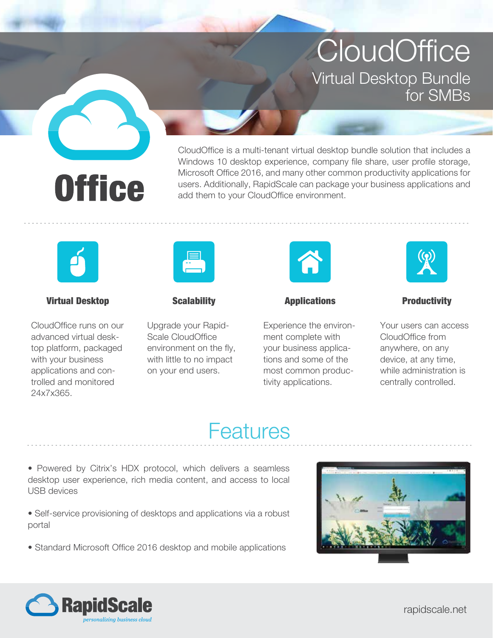**CloudOffice** Virtual Desktop Bundle for SMBs



CloudOffice is a multi-tenant virtual desktop bundle solution that includes a Windows 10 desktop experience, company file share, user profile storage, Microsoft Office 2016, and many other common productivity applications for users. Additionally, RapidScale can package your business applications and add them to your CloudOffice environment.



## Virtual Desktop

CloudOffice runs on our advanced virtual desktop platform, packaged with your business applications and controlled and monitored 24x7x365.



## **Scalability**

Upgrade your Rapid-Scale CloudOffice environment on the fly, with little to no impact on your end users.



Applications

Experience the environment complete with your business applications and some of the most common productivity applications.



#### **Productivity**

Your users can access CloudOffice from anywhere, on any device, at any time, while administration is centrally controlled.

# **Features**

• Powered by Citrix's HDX protocol, which delivers a seamless desktop user experience, rich media content, and access to local USB devices

• Self-service provisioning of desktops and applications via a robust portal

• Standard Microsoft Office 2016 desktop and mobile applications